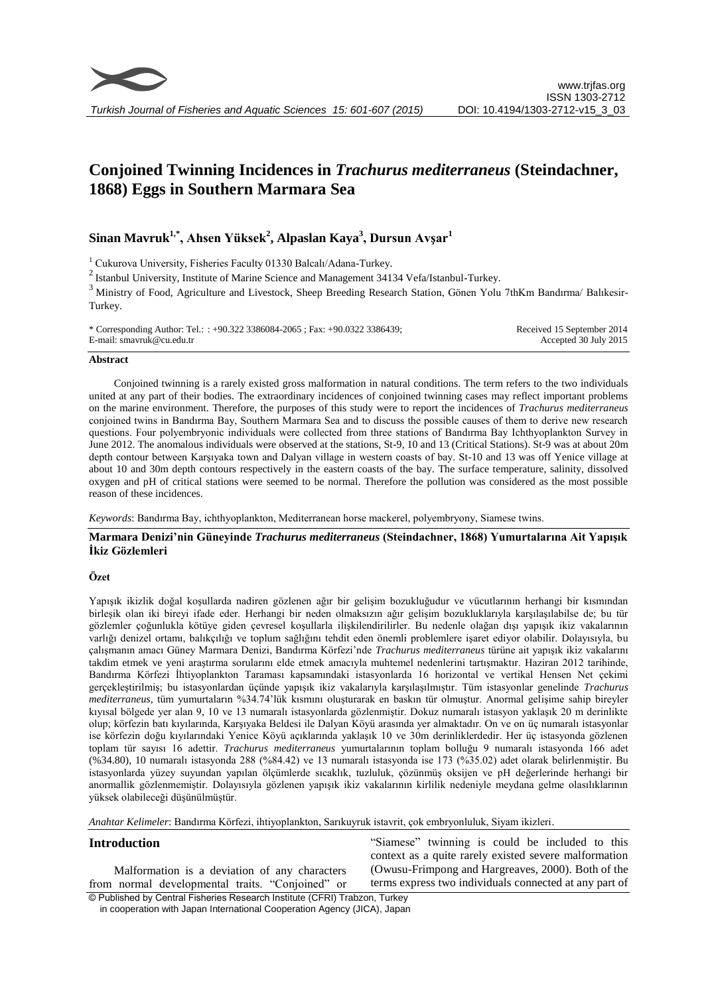

# **Conjoined Twinning Incidences in** *Trachurus mediterraneus* **(Steindachner, 1868) Eggs in Southern Marmara Sea**

# **Sinan Mavruk1,\* , Ahsen Yüksek<sup>2</sup> , Alpaslan Kaya<sup>3</sup> , Dursun Avşar<sup>1</sup>**

<sup>1</sup> Cukurova University, Fisheries Faculty 01330 Balcalı/Adana-Turkey.

 $^{2}$  Istanbul University, Institute of Marine Science and Management 34134 Vefa/Istanbul-Turkey.

<sup>3</sup> Ministry of Food, Agriculture and Livestock, Sheep Breeding Research Station, Gönen Yolu 7thKm Bandırma/ Balıkesir-Turkey.

| * Corresponding Author: Tel.: : +90.322 3386084-2065 ; Fax: +90.0322 3386439; | Received 15 September 2014 |
|-------------------------------------------------------------------------------|----------------------------|
| E-mail: smavruk@cu.edu.tr                                                     | Accepted 30 July 2015      |

#### **Abstract**

Conjoined twinning is a rarely existed gross malformation in natural conditions. The term refers to the two individuals united at any part of their bodies. The extraordinary incidences of conjoined twinning cases may reflect important problems on the marine environment. Therefore, the purposes of this study were to report the incidences of *Trachurus mediterraneus* conjoined twins in Bandırma Bay, Southern Marmara Sea and to discuss the possible causes of them to derive new research questions. Four polyembryonic individuals were collected from three stations of Bandırma Bay Ichthyoplankton Survey in June 2012. The anomalous individuals were observed at the stations, St-9, 10 and 13 (Critical Stations). St-9 was at about 20m depth contour between Karşıyaka town and Dalyan village in western coasts of bay. St-10 and 13 was off Yenice village at about 10 and 30m depth contours respectively in the eastern coasts of the bay. The surface temperature, salinity, dissolved oxygen and pH of critical stations were seemed to be normal. Therefore the pollution was considered as the most possible reason of these incidences.

*Keywords*: Bandırma Bay, ichthyoplankton, Mediterranean horse mackerel, polyembryony, Siamese twins.

# **Marmara Denizi'nin Güneyinde** *Trachurus mediterraneus* **(Steindachner, 1868) Yumurtalarına Ait Yapışık İkiz Gözlemleri**

## **Özet**

Yapışık ikizlik doğal koşullarda nadiren gözlenen ağır bir gelişim bozukluğudur ve vücutlarının herhangi bir kısmından birleşik olan iki bireyi ifade eder. Herhangi bir neden olmaksızın ağır gelişim bozukluklarıyla karşılaşılabilse de; bu tür gözlemler çoğunlukla kötüye giden çevresel koşullarla ilişkilendirilirler. Bu nedenle olağan dışı yapışık ikiz vakalarının varlığı denizel ortamı, balıkçılığı ve toplum sağlığını tehdit eden önemli problemlere işaret ediyor olabilir. Dolayısıyla, bu çalışmanın amacı Güney Marmara Denizi, Bandırma Körfezi'nde *Trachurus mediterraneus* türüne ait yapışık ikiz vakalarını takdim etmek ve yeni araştırma sorularını elde etmek amacıyla muhtemel nedenlerini tartışmaktır. Haziran 2012 tarihinde, Bandırma Körfezi İhtiyoplankton Taraması kapsamındaki istasyonlarda 16 horizontal ve vertikal Hensen Net çekimi gerçekleştirilmiş; bu istasyonlardan üçünde yapışık ikiz vakalarıyla karşılaşılmıştır. Tüm istasyonlar genelinde *Trachurus mediterraneus,* tüm yumurtaların %34.74'lük kısmını oluşturarak en baskın tür olmuştur. Anormal gelişime sahip bireyler kıyısal bölgede yer alan 9, 10 ve 13 numaralı istasyonlarda gözlenmiştir. Dokuz numaralı istasyon yaklaşık 20 m derinlikte olup; körfezin batı kıyılarında, Karşıyaka Beldesi ile Dalyan Köyü arasında yer almaktadır. On ve on üç numaralı istasyonlar ise körfezin doğu kıyılarındaki Yenice Köyü açıklarında yaklaşık 10 ve 30m derinliklerdedir. Her üç istasyonda gözlenen toplam tür sayısı 16 adettir. *Trachurus mediterraneus* yumurtalarının toplam bolluğu 9 numaralı istasyonda 166 adet (%34.80), 10 numaralı istasyonda 288 (%84.42) ve 13 numaralı istasyonda ise 173 (%35.02) adet olarak belirlenmiştir. Bu istasyonlarda yüzey suyundan yapılan ölçümlerde sıcaklık, tuzluluk, çözünmüş oksijen ve pH değerlerinde herhangi bir anormallik gözlenmemiştir. Dolayısıyla gözlenen yapışık ikiz vakalarının kirlilik nedeniyle meydana gelme olasılıklarının yüksek olabileceği düşünülmüştür.

*Anahtar Kelimeler*: Bandırma Körfezi, ihtiyoplankton, Sarıkuyruk istavrit, çok embryonluluk, Siyam ikizleri.

#### **Introduction**

© Published by Central Fisheries Research Institute (CFRI) Trabzon, Turkey Malformation is a deviation of any characters from normal developmental traits. "Conjoined" or

"Siamese" twinning is could be included to this context as a quite rarely existed severe malformation (Owusu-Frimpong and Hargreaves, 2000). Both of the terms express two individuals connected at any part of

in cooperation with Japan International Cooperation Agency (JICA), Japan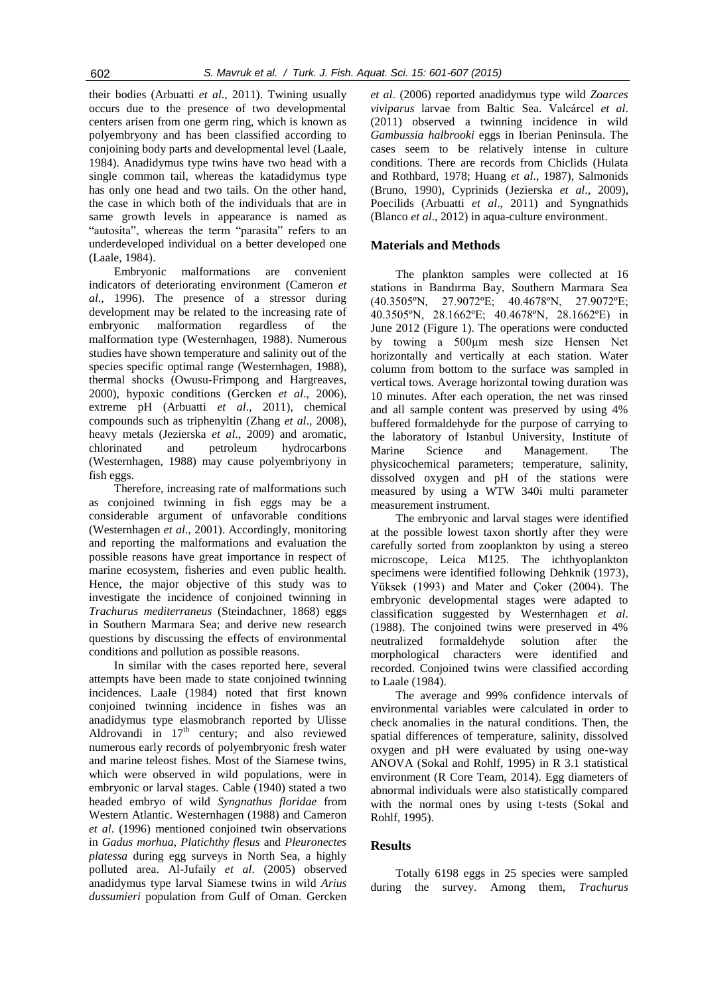their bodies (Arbuatti *et al*., 2011). Twining usually occurs due to the presence of two developmental centers arisen from one germ ring, which is known as polyembryony and has been classified according to conjoining body parts and developmental level (Laale, 1984). Anadidymus type twins have two head with a single common tail, whereas the katadidymus type has only one head and two tails. On the other hand, the case in which both of the individuals that are in same growth levels in appearance is named as "autosita", whereas the term "parasita" refers to an underdeveloped individual on a better developed one (Laale, 1984).

Embryonic malformations are convenient indicators of deteriorating environment (Cameron *et al*., 1996). The presence of a stressor during development may be related to the increasing rate of embryonic malformation regardless of the malformation type (Westernhagen, 1988). Numerous studies have shown temperature and salinity out of the species specific optimal range (Westernhagen, 1988), thermal shocks (Owusu-Frimpong and Hargreaves, 2000), hypoxic conditions (Gercken *et al*., 2006), extreme pH (Arbuatti *et al*., 2011), chemical compounds such as triphenyltin (Zhang *et al*., 2008), heavy metals (Jezierska *et al*., 2009) and aromatic, chlorinated and petroleum hydrocarbons (Westernhagen, 1988) may cause polyembriyony in fish eggs.

Therefore, increasing rate of malformations such as conjoined twinning in fish eggs may be a considerable argument of unfavorable conditions (Westernhagen *et al*., 2001). Accordingly, monitoring and reporting the malformations and evaluation the possible reasons have great importance in respect of marine ecosystem, fisheries and even public health. Hence, the major objective of this study was to investigate the incidence of conjoined twinning in *Trachurus mediterraneus* (Steindachner, 1868) eggs in Southern Marmara Sea; and derive new research questions by discussing the effects of environmental conditions and pollution as possible reasons.

In similar with the cases reported here, several attempts have been made to state conjoined twinning incidences. Laale (1984) noted that first known conjoined twinning incidence in fishes was an anadidymus type elasmobranch reported by Ulisse Aldrovandi in  $17<sup>th</sup>$  century; and also reviewed numerous early records of polyembryonic fresh water and marine teleost fishes. Most of the Siamese twins, which were observed in wild populations, were in embryonic or larval stages. Cable (1940) stated a two headed embryo of wild *Syngnathus floridae* from Western Atlantic. Westernhagen (1988) and Cameron *et al*. (1996) mentioned conjoined twin observations in *Gadus morhua*, *Platichthy flesus* and *Pleuronectes platessa* during egg surveys in North Sea, a highly polluted area. Al-Jufaily *et al*. (2005) observed anadidymus type larval Siamese twins in wild *Arius dussumieri* population from Gulf of Oman. Gercken

*et al*. (2006) reported anadidymus type wild *Zoarces viviparus* larvae from Baltic Sea. Valcárcel *et al*. (2011) observed a twinning incidence in wild *Gambussia halbrooki* eggs in Iberian Peninsula. The cases seem to be relatively intense in culture conditions. There are records from Chiclids (Hulata and Rothbard, 1978; Huang *et al*., 1987), Salmonids (Bruno, 1990), Cyprinids (Jezierska *et al*., 2009), Poecilids (Arbuatti *et al*., 2011) and Syngnathids (Blanco *et al*., 2012) in aqua-culture environment.

#### **Materials and Methods**

The plankton samples were collected at 16 stations in Bandırma Bay, Southern Marmara Sea (40.3505ºN, 27.9072ºE; 40.4678ºN, 27.9072ºE; 40.3505ºN, 28.1662ºE; 40.4678ºN, 28.1662ºE) in June 2012 (Figure 1). The operations were conducted by towing a 500µm mesh size Hensen Net horizontally and vertically at each station. Water column from bottom to the surface was sampled in vertical tows. Average horizontal towing duration was 10 minutes. After each operation, the net was rinsed and all sample content was preserved by using 4% buffered formaldehyde for the purpose of carrying to the laboratory of Istanbul University, Institute of Marine Science and Management. The physicochemical parameters; temperature, salinity, dissolved oxygen and pH of the stations were measured by using a WTW 340i multi parameter measurement instrument.

The embryonic and larval stages were identified at the possible lowest taxon shortly after they were carefully sorted from zooplankton by using a stereo microscope, Leica M125. The ichthyoplankton specimens were identified following Dehknik (1973), Yüksek (1993) and Mater and Çoker (2004). The embryonic developmental stages were adapted to classification suggested by Westernhagen *et al*. (1988). The conjoined twins were preserved in 4% neutralized formaldehyde solution after the morphological characters were identified and recorded. Conjoined twins were classified according to Laale (1984).

The average and 99% confidence intervals of environmental variables were calculated in order to check anomalies in the natural conditions. Then, the spatial differences of temperature, salinity, dissolved oxygen and pH were evaluated by using one-way ANOVA (Sokal and Rohlf, 1995) in R 3.1 statistical environment (R Core Team, 2014). Egg diameters of abnormal individuals were also statistically compared with the normal ones by using t-tests (Sokal and Rohlf, 1995).

# **Results**

Totally 6198 eggs in 25 species were sampled during the survey. Among them, *Trachurus*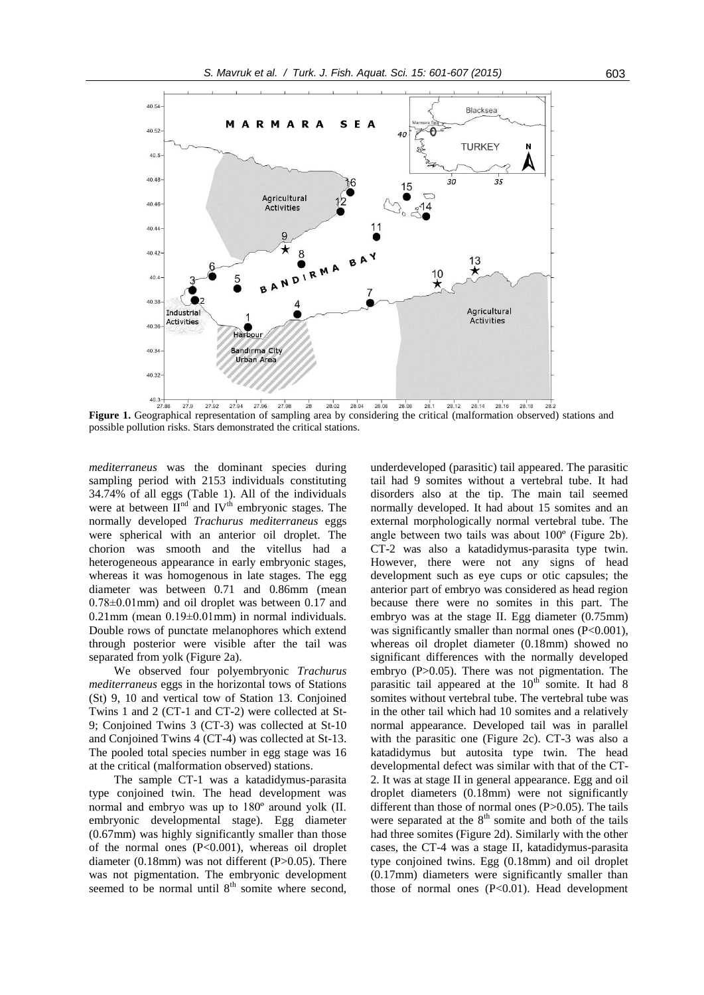

 $279$ 27.92 27.94 27.96 27.98  $28$ 28.02  $28.04$  $28.06$ 28.08  $28.1$  $28.12$ 28.14 28.16  $28.18$  $282$ **Figure 1.** Geographical representation of sampling area by considering the critical (malformation observed) stations and possible pollution risks. Stars demonstrated the critical stations.

*mediterraneus* was the dominant species during sampling period with 2153 individuals constituting 34.74% of all eggs (Table 1). All of the individuals were at between  $II<sup>nd</sup>$  and  $IV<sup>th</sup>$  embryonic stages. The normally developed *Trachurus mediterraneus* eggs were spherical with an anterior oil droplet. The chorion was smooth and the vitellus had a heterogeneous appearance in early embryonic stages, whereas it was homogenous in late stages. The egg diameter was between 0.71 and 0.86mm (mean 0.78±0.01mm) and oil droplet was between 0.17 and  $0.21$ mm (mean  $0.19\pm0.01$ mm) in normal individuals. Double rows of punctate melanophores which extend through posterior were visible after the tail was separated from yolk (Figure 2a).

We observed four polyembryonic *Trachurus mediterraneus* eggs in the horizontal tows of Stations (St) 9, 10 and vertical tow of Station 13. Conjoined Twins 1 and 2 (CT-1 and CT-2) were collected at St-9; Conjoined Twins 3 (CT-3) was collected at St-10 and Conjoined Twins 4 (CT-4) was collected at St-13. The pooled total species number in egg stage was 16 at the critical (malformation observed) stations.

The sample CT-1 was a katadidymus-parasita type conjoined twin. The head development was normal and embryo was up to 180º around yolk (II. embryonic developmental stage). Egg diameter (0.67mm) was highly significantly smaller than those of the normal ones  $(P<0.001)$ , whereas oil droplet diameter (0.18mm) was not different (P>0.05). There was not pigmentation. The embryonic development seemed to be normal until  $8<sup>th</sup>$  somite where second,

underdeveloped (parasitic) tail appeared. The parasitic tail had 9 somites without a vertebral tube. It had disorders also at the tip. The main tail seemed normally developed. It had about 15 somites and an external morphologically normal vertebral tube. The angle between two tails was about 100º (Figure 2b). CT-2 was also a katadidymus-parasita type twin. However, there were not any signs of head development such as eye cups or otic capsules; the anterior part of embryo was considered as head region because there were no somites in this part. The embryo was at the stage II. Egg diameter (0.75mm) was significantly smaller than normal ones (P<0.001), whereas oil droplet diameter (0.18mm) showed no significant differences with the normally developed embryo (P>0.05). There was not pigmentation. The parasitic tail appeared at the  $10^{th}$  somite. It had 8 somites without vertebral tube. The vertebral tube was in the other tail which had 10 somites and a relatively normal appearance. Developed tail was in parallel with the parasitic one (Figure 2c). CT-3 was also a katadidymus but autosita type twin. The head developmental defect was similar with that of the CT-2. It was at stage II in general appearance. Egg and oil droplet diameters (0.18mm) were not significantly different than those of normal ones  $(P>0.05)$ . The tails were separated at the  $8<sup>th</sup>$  somite and both of the tails had three somites (Figure 2d). Similarly with the other cases, the CT-4 was a stage II, katadidymus-parasita type conjoined twins. Egg (0.18mm) and oil droplet (0.17mm) diameters were significantly smaller than those of normal ones  $(P<0.01)$ . Head development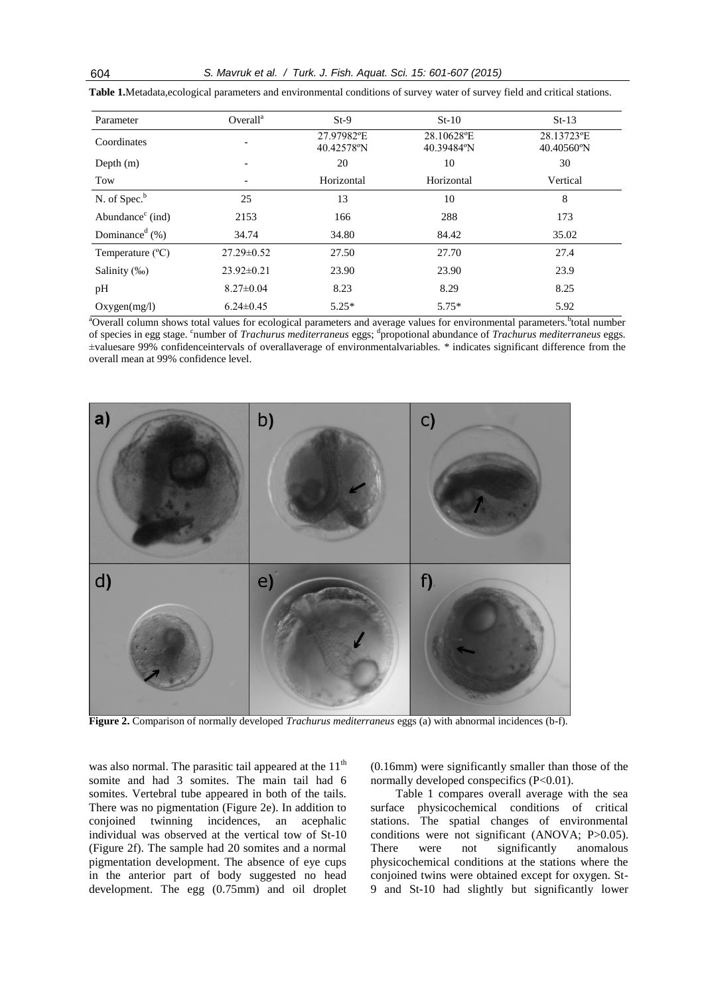| Parameter                     | Overall <sup>a</sup> | $St-9$                   | $St-10$                  | $St-13$                  |
|-------------------------------|----------------------|--------------------------|--------------------------|--------------------------|
| Coordinates                   |                      | 27.97982°E<br>40.42578°N | 28.10628°E<br>40.39484°N | 28.13723°E<br>40.40560°N |
| Depth $(m)$                   |                      | 20                       | 10                       | 30                       |
| Tow                           |                      | Horizontal               | Horizontal               | Vertical                 |
| N. of Spec. <sup>b</sup>      | 25                   | 13                       | 10                       | 8                        |
| Abundance $\epsilon$ (ind)    | 2153                 | 166                      | 288                      | 173                      |
| Dominance <sup>d</sup> $(\%)$ | 34.74                | 34.80                    | 84.42                    | 35.02                    |
| Temperature $(^{\circ}C)$     | $27.29 \pm 0.52$     | 27.50                    | 27.70                    | 27.4                     |
| Salinity (‰)                  | $23.92 \pm 0.21$     | 23.90                    | 23.90                    | 23.9                     |
| pH                            | $8.27 \pm 0.04$      | 8.23                     | 8.29                     | 8.25                     |
| Oxygen(mg/l)                  | $6.24 \pm 0.45$      | $5.25*$                  | $5.75*$                  | 5.92                     |

**Table 1.**Metadata,ecological parameters and environmental conditions of survey water of survey field and critical stations.

<sup>a</sup>Overall column shows total values for ecological parameters and average values for environmental parameters.<sup>b</sup>total number of species in egg stage. <sup>c</sup>number of *Trachurus mediterraneus* eggs; <sup>d</sup>propotional abundance of *Trachurus mediterraneus* eggs. ±valuesare 99% confidenceintervals of overallaverage of environmentalvariables. \* indicates significant difference from the overall mean at 99% confidence level.



**Figure 2.** Comparison of normally developed *Trachurus mediterraneus* eggs (a) with abnormal incidences (b-f).

was also normal. The parasitic tail appeared at the  $11<sup>th</sup>$ somite and had 3 somites. The main tail had 6 somites. Vertebral tube appeared in both of the tails. There was no pigmentation (Figure 2e). In addition to conjoined twinning incidences, an acephalic individual was observed at the vertical tow of St-10 (Figure 2f). The sample had 20 somites and a normal pigmentation development. The absence of eye cups in the anterior part of body suggested no head development. The egg (0.75mm) and oil droplet

(0.16mm) were significantly smaller than those of the normally developed conspecifics (P<0.01).

Table 1 compares overall average with the sea surface physicochemical conditions of critical stations. The spatial changes of environmental conditions were not significant (ANOVA; P>0.05). There were not significantly anomalous physicochemical conditions at the stations where the conjoined twins were obtained except for oxygen. St-9 and St-10 had slightly but significantly lower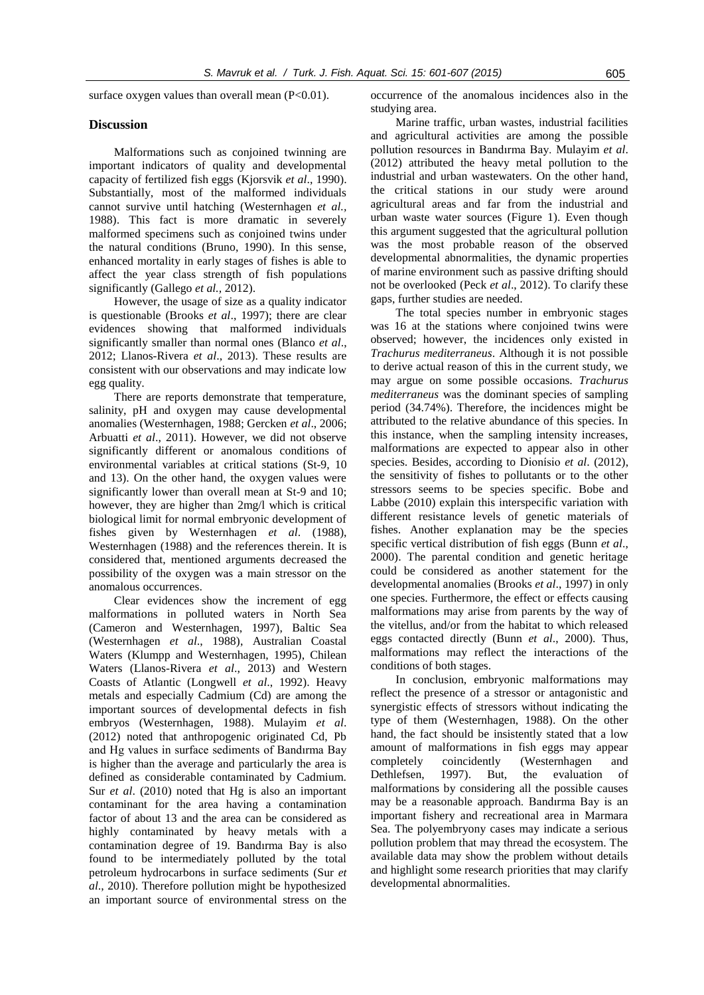surface oxygen values than overall mean (P<0.01).

#### **Discussion**

Malformations such as conjoined twinning are important indicators of quality and developmental capacity of fertilized fish eggs (Kjorsvik *et al*., 1990). Substantially, most of the malformed individuals cannot survive until hatching (Westernhagen *et al.,* 1988). This fact is more dramatic in severely malformed specimens such as conjoined twins under the natural conditions (Bruno, 1990). In this sense, enhanced mortality in early stages of fishes is able to affect the year class strength of fish populations significantly (Gallego *et al.,* 2012).

However, the usage of size as a quality indicator is questionable (Brooks *et al*., 1997); there are clear evidences showing that malformed individuals significantly smaller than normal ones (Blanco *et al*., 2012; Llanos-Rivera *et al*., 2013). These results are consistent with our observations and may indicate low egg quality.

There are reports demonstrate that temperature, salinity, pH and oxygen may cause developmental anomalies (Westernhagen, 1988; Gercken *et al*., 2006; Arbuatti *et al*., 2011). However, we did not observe significantly different or anomalous conditions of environmental variables at critical stations (St-9, 10 and 13). On the other hand, the oxygen values were significantly lower than overall mean at St-9 and 10; however, they are higher than 2mg/l which is critical biological limit for normal embryonic development of fishes given by Westernhagen *et al*. (1988), Westernhagen (1988) and the references therein. It is considered that, mentioned arguments decreased the possibility of the oxygen was a main stressor on the anomalous occurrences.

Clear evidences show the increment of egg malformations in polluted waters in North Sea (Cameron and Westernhagen, 1997), Baltic Sea (Westernhagen *et al*., 1988), Australian Coastal Waters (Klumpp and Westernhagen, 1995), Chilean Waters (Llanos-Rivera *et al*., 2013) and Western Coasts of Atlantic (Longwell *et al*., 1992). Heavy metals and especially Cadmium (Cd) are among the important sources of developmental defects in fish embryos (Westernhagen, 1988). Mulayim *et al*. (2012) noted that anthropogenic originated Cd, Pb and Hg values in surface sediments of Bandırma Bay is higher than the average and particularly the area is defined as considerable contaminated by Cadmium. Sur *et al*. (2010) noted that Hg is also an important contaminant for the area having a contamination factor of about 13 and the area can be considered as highly contaminated by heavy metals with a contamination degree of 19. Bandırma Bay is also found to be intermediately polluted by the total petroleum hydrocarbons in surface sediments (Sur *et al*., 2010). Therefore pollution might be hypothesized an important source of environmental stress on the occurrence of the anomalous incidences also in the studying area.

Marine traffic, urban wastes, industrial facilities and agricultural activities are among the possible pollution resources in Bandırma Bay. Mulayim *et al*. (2012) attributed the heavy metal pollution to the industrial and urban wastewaters. On the other hand, the critical stations in our study were around agricultural areas and far from the industrial and urban waste water sources (Figure 1). Even though this argument suggested that the agricultural pollution was the most probable reason of the observed developmental abnormalities, the dynamic properties of marine environment such as passive drifting should not be overlooked (Peck *et al*., 2012). To clarify these gaps, further studies are needed.

The total species number in embryonic stages was 16 at the stations where conjoined twins were observed; however, the incidences only existed in *Trachurus mediterraneus*. Although it is not possible to derive actual reason of this in the current study, we may argue on some possible occasions. *Trachurus mediterraneus* was the dominant species of sampling period (34.74%). Therefore, the incidences might be attributed to the relative abundance of this species. In this instance, when the sampling intensity increases, malformations are expected to appear also in other species. Besides, according to Dionísio *et al*. (2012), the sensitivity of fishes to pollutants or to the other stressors seems to be species specific. Bobe and Labbe (2010) explain this interspecific variation with different resistance levels of genetic materials of fishes. Another explanation may be the species specific vertical distribution of fish eggs (Bunn *et al*., 2000). The parental condition and genetic heritage could be considered as another statement for the developmental anomalies (Brooks *et al*., 1997) in only one species. Furthermore, the effect or effects causing malformations may arise from parents by the way of the vitellus, and/or from the habitat to which released eggs contacted directly (Bunn *et al*., 2000). Thus, malformations may reflect the interactions of the conditions of both stages.

In conclusion, embryonic malformations may reflect the presence of a stressor or antagonistic and synergistic effects of stressors without indicating the type of them (Westernhagen, 1988). On the other hand, the fact should be insistently stated that a low amount of malformations in fish eggs may appear completely coincidently (Westernhagen and Dethlefsen, 1997). But, the evaluation of malformations by considering all the possible causes may be a reasonable approach. Bandırma Bay is an important fishery and recreational area in Marmara Sea. The polyembryony cases may indicate a serious pollution problem that may thread the ecosystem. The available data may show the problem without details and highlight some research priorities that may clarify developmental abnormalities.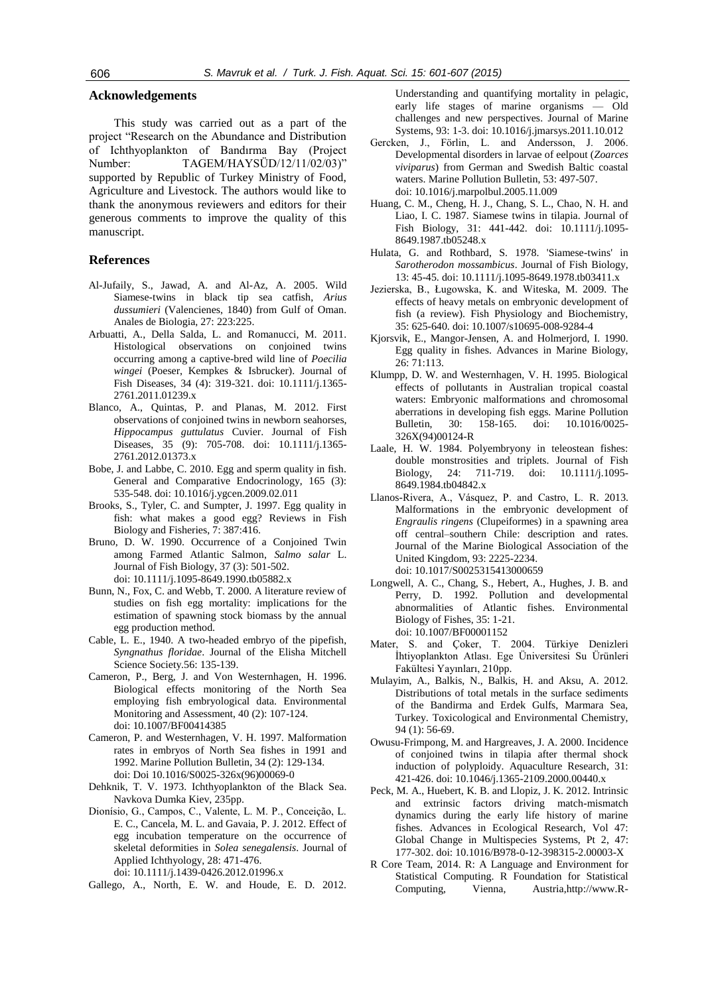# **Acknowledgements**

This study was carried out as a part of the project "Research on the Abundance and Distribution" of Ichthyoplankton of Bandırma Bay (Project Number: TAGEM/HAYSÜD/12/11/02/03)" supported by Republic of Turkey Ministry of Food, Agriculture and Livestock. The authors would like to thank the anonymous reviewers and editors for their generous comments to improve the quality of this manuscript.

#### **References**

- Al-Jufaily, S., Jawad, A. and Al-Az, A. 2005. Wild Siamese-twins in black tip sea catfish, *Arius dussumieri* (Valencienes, 1840) from Gulf of Oman. Anales de Biologia, 27: 223:225.
- Arbuatti, A., Della Salda, L. and Romanucci, M. 2011. Histological observations on conjoined twins occurring among a captive-bred wild line of *Poecilia wingei* (Poeser, Kempkes & Isbrucker). Journal of Fish Diseases, 34 (4): 319-321. doi: 10.1111/j.1365- 2761.2011.01239.x
- Blanco, A., Quintas, P. and Planas, M. 2012. First observations of conjoined twins in newborn seahorses, *Hippocampus guttulatus* Cuvier. Journal of Fish Diseases, 35 (9): 705-708. doi: 10.1111/j.1365- 2761.2012.01373.x
- Bobe, J. and Labbe, C. 2010. Egg and sperm quality in fish. General and Comparative Endocrinology, 165 (3): 535-548. doi: 10.1016/j.ygcen.2009.02.011
- Brooks, S., Tyler, C. and Sumpter, J. 1997. Egg quality in fish: what makes a good egg? Reviews in Fish Biology and Fisheries, 7: 387:416.
- Bruno, D. W. 1990. Occurrence of a Conjoined Twin among Farmed Atlantic Salmon, *Salmo salar* L. Journal of Fish Biology, 37 (3): 501-502. doi: 10.1111/j.1095-8649.1990.tb05882.x
- Bunn, N., Fox, C. and Webb, T. 2000. A literature review of studies on fish egg mortality: implications for the estimation of spawning stock biomass by the annual egg production method.
- Cable, L. E., 1940. A two-headed embryo of the pipefish, *Syngnathus floridae*. Journal of the Elisha Mitchell Science Society.56: 135-139.
- Cameron, P., Berg, J. and Von Westernhagen, H. 1996. Biological effects monitoring of the North Sea employing fish embryological data. Environmental Monitoring and Assessment, 40 (2): 107-124. doi: 10.1007/BF00414385
- Cameron, P. and Westernhagen, V. H. 1997. Malformation rates in embryos of North Sea fishes in 1991 and 1992. Marine Pollution Bulletin, 34 (2): 129-134. doi: Doi 10.1016/S0025-326x(96)00069-0
- Dehknik, T. V. 1973. Ichthyoplankton of the Black Sea. Navkova Dumka Kiev, 235pp.
- Dionísio, G., Campos, C., Valente, L. M. P., Conceição, L. E. C., Cancela, M. L. and Gavaia, P. J. 2012. Effect of egg incubation temperature on the occurrence of skeletal deformities in *Solea senegalensis*. Journal of Applied Ichthyology, 28: 471-476. doi: 10.1111/j.1439-0426.2012.01996.x

Gallego, A., North, E. W. and Houde, E. D. 2012.

Understanding and quantifying mortality in pelagic, early life stages of marine organisms — Old challenges and new perspectives. Journal of Marine Systems, 93: 1-3. doi: 10.1016/j.jmarsys.2011.10.012

- Gercken, J., Förlin, L. and Andersson, J. 2006. Developmental disorders in larvae of eelpout (*Zoarces viviparus*) from German and Swedish Baltic coastal waters. Marine Pollution Bulletin, 53: 497-507. doi: 10.1016/j.marpolbul.2005.11.009
- Huang, C. M., Cheng, H. J., Chang, S. L., Chao, N. H. and Liao, I. C. 1987. Siamese twins in tilapia. Journal of Fish Biology, 31: 441-442. doi: 10.1111/j.1095- 8649.1987.tb05248.x
- Hulata, G. and Rothbard, S. 1978. 'Siamese-twins' in *Sarotherodon mossambicus*. Journal of Fish Biology, 13: 45-45. doi: 10.1111/j.1095-8649.1978.tb03411.x
- Jezierska, B., Ługowska, K. and Witeska, M. 2009. The effects of heavy metals on embryonic development of fish (a review). Fish Physiology and Biochemistry, 35: 625-640. doi: 10.1007/s10695-008-9284-4
- Kjorsvik, E., Mangor-Jensen, A. and Holmerjord, I. 1990. Egg quality in fishes. Advances in Marine Biology, 26: 71:113.
- Klumpp, D. W. and Westernhagen, V. H. 1995. Biological effects of pollutants in Australian tropical coastal waters: Embryonic malformations and chromosomal aberrations in developing fish eggs. Marine Pollution Bulletin, 30: 158-165. doi: 10.1016/0025- 326X(94)00124-R
- Laale, H. W. 1984. Polyembryony in teleostean fishes: double monstrosities and triplets. Journal of Fish Biology, 24: 711-719. doi: 10.1111/j.1095- 8649.1984.tb04842.x
- Llanos-Rivera, A., Vásquez, P. and Castro, L. R. 2013. Malformations in the embryonic development of *Engraulis ringens* (Clupeiformes) in a spawning area off central–southern Chile: description and rates. Journal of the Marine Biological Association of the United Kingdom, 93: 2225-2234. doi: 10.1017/S0025315413000659
- Longwell, A. C., Chang, S., Hebert, A., Hughes, J. B. and Perry, D. 1992. Pollution and developmental abnormalities of Atlantic fishes. Environmental Biology of Fishes, 35: 1-21. doi: 10.1007/BF00001152
- Mater, S. and Çoker, T. 2004. Türkiye Denizleri İhtiyoplankton Atlası. Ege Üniversitesi Su Ürünleri Fakültesi Yayınları, 210pp.
- Mulayim, A., Balkis, N., Balkis, H. and Aksu, A. 2012. Distributions of total metals in the surface sediments of the Bandirma and Erdek Gulfs, Marmara Sea, Turkey. Toxicological and Environmental Chemistry, 94 (1): 56-69.
- Owusu-Frimpong, M. and Hargreaves, J. A. 2000. Incidence of conjoined twins in tilapia after thermal shock induction of polyploidy. Aquaculture Research, 31: 421-426. doi: 10.1046/j.1365-2109.2000.00440.x
- Peck, M. A., Huebert, K. B. and Llopiz, J. K. 2012. Intrinsic and extrinsic factors driving match-mismatch dynamics during the early life history of marine fishes. Advances in Ecological Research, Vol 47: Global Change in Multispecies Systems, Pt 2, 47: 177-302. doi: 10.1016/B978-0-12-398315-2.00003-X
- R Core Team, 2014. R: A Language and Environment for Statistical Computing. R Foundation for Statistical Computing, Vienna, Austria,http://www.R-